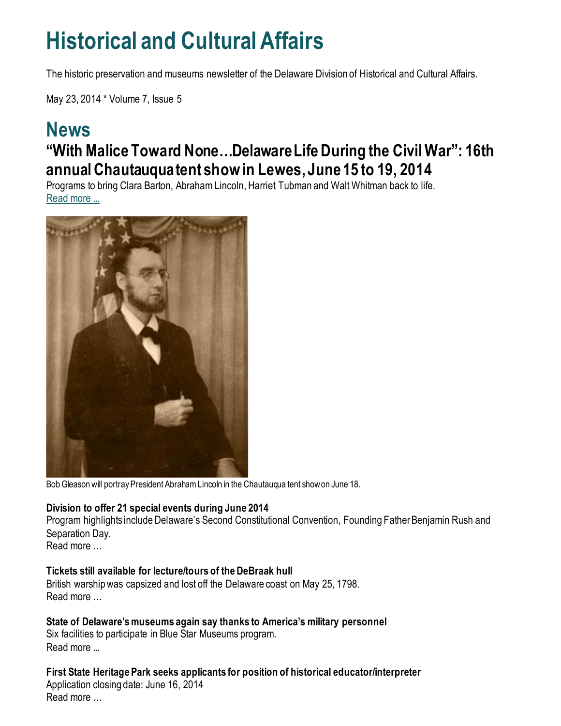## **Historical and Cultural Affairs**

The historic preservation and museums newsletter of the Delaware Division of Historical and Cultural Affairs.

May 23, 2014 \* Volume 7, Issue 5

### **News "With Malice Toward None…Delaware Life During the Civil War": 16th annual Chautauqua tent show in Lewes, June 15 to 19, 2014**

Programs to bring Clara Barton, Abraham Lincoln, Harriet Tubman and Walt Whitman back to life. [Read more ...](https://news.delaware.gov/2014/06/04/with-malice-toward-nonedelaware-life-during-the-civil-war-16th-annual-chautauqua-tent-show-to-take-place-in-lewes-del-from-june-15-to-19-2014/)



Bob Gleason will portray President Abraham Lincoln in the Chautauqua tent show on June 18.

#### **Division to offer 21 special events during June 2014**

Program highlights include Delaware's Second Constitutional Convention, Founding Father Benjamin Rush and Separation Day.

Read more …

#### **Tickets still available for lecture/tours of the DeBraak hull**

British warship was capsized and lost off the Delaware coast on May 25, 1798. Read more

**State of Delaware's museums again say thanks to America's military personnel** Six facilities to participate in Blue Star Museums program. Read more ...

**First State Heritage Park seeks applicants for position of historical educator/interpreter** Application closing date: June 16, 2014 Read more …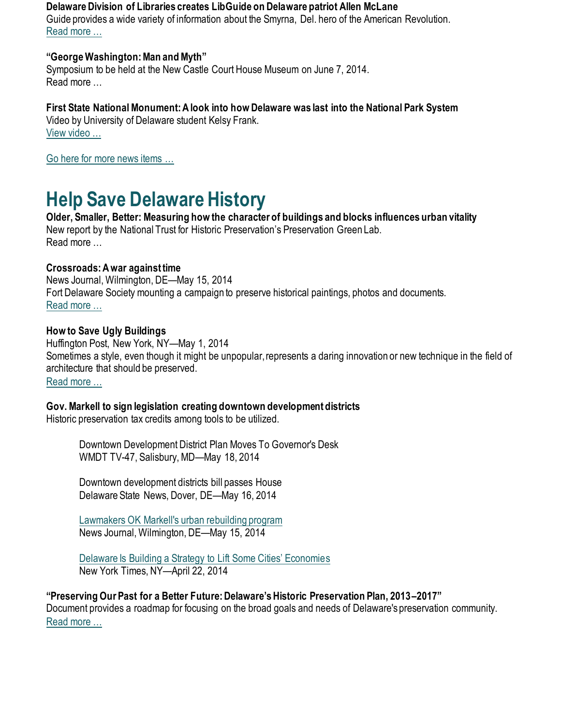**Delaware Division of Libraries creates LibGuide on Delaware patriot Allen McLane** Guide provides a wide variety of information about the Smyrna, Del. hero of the American Revolution. [Read more …](https://history.delaware.gov/2014/05/21/delaware-division-of-libraries-creates-libguide-on-delaware-patriot-allen-mclane/)

#### **"George Washington: Man and Myth"**

Symposium to be held at the New Castle Court House Museum on June 7, 2014. Read more …

**First State National Monument: A look into how Delaware was last into the National Park System** Video by University of Delaware student Kelsy Frank. [View video …](https://vimeo.com/93947297)

[Go here for more news items …](http://history.blogs.delaware.gov/)

## **Help Save Delaware History**

**Older, Smaller, Better: Measuring how the character of buildings and blocks influences urban vitality** New report by the National Trust for Historic Preservation's Preservation Green Lab. Read more …

#### **Crossroads: A war against time**

News Journal, Wilmington, DE—May 15, 2014 Fort Delaware Society mounting a campaign to preserve historical paintings, photos and documents. [Read more …](https://www.delawareonline.com/story/life/2014/05/14/crossroads-war-time/9100881/)

#### **How to Save Ugly Buildings**

Huffington Post, New York, NY—May 1, 2014 Sometimes a style, even though it might be unpopular, represents a daring innovation or new technique in the field of architecture that should be preserved. [Read mor](https://www.huffpost.com/entry/how-to-save-ugly-building_b_5246959)e …

#### **Gov. Markell to sign legislation creating downtown development districts**

Historic preservation tax credits among tools to be utilized.

Downtown Development District Plan Moves To Governor's Desk WMDT TV-47, Salisbury, MD—May 18, 2014

Downtown development districts bill passes House Delaware State News, Dover, DE—May 16, 2014

[Lawmakers OK Markell's urban rebuilding program](https://www.delawareonline.com/story/news/local/2014/05/15/lawmakers-ok-markells-urban-rebuilding-program/9156759/) News Journal, Wilmington, DE—May 15, 2014

[Delaware Is Building a Strategy to Lift Some Cities' Economie](https://www.nytimes.com/2014/04/23/realestate/commercial/delaware-is-building-a-strategy-to-lift-local-economies.html)s New York Times, NY—April 22, 2014

#### **"Preserving Our Past for a Better Future: Delaware's Historic Preservation Plan, 2013–2017"**

Document provides a roadmap for focusing on the broad goals and needs of Delaware's preservation community. [Read more …](https://history.delaware.gov/wp-content/uploads/sites/179/2019/02/Preservation-Plan-2013-2017.pdf)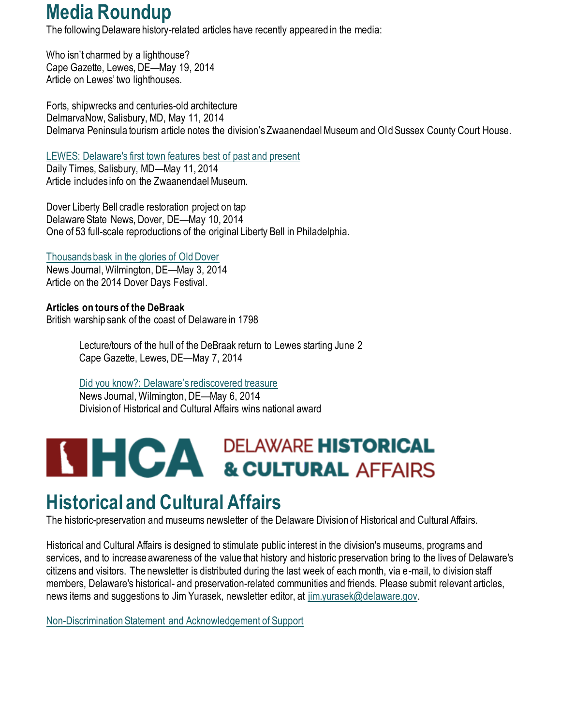## **Media Roundup**

The following Delaware history-related articles have recently appeared in the media:

Who isn't charmed by a lighthouse? Cape Gazette, Lewes, DE—May 19, 2014 Article on Lewes' two lighthouses.

Forts, shipwrecks and centuries-old architecture DelmarvaNow, Salisbury, MD, May 11, 2014 Delmarva Peninsula tourism article notes the division's Zwaanendael Museum and Old Sussex County Court House.

[LEWES: Delaware's first town features best of past and present](http://www.delmarvanow.com/story/entertainment/2014/05/11/lewes-delawares-first-town-features-best-of-past-and-present/8974457/)

Daily Times, Salisbury, MD—May 11, 2014 Article includes info on the Zwaanendael Museum.

Dover Liberty Bell cradle restoration project on tap Delaware State News, Dover, DE—May 10, 2014 One of 53 full-scale reproductions of the original Liberty Bell in Philadelphia.

[Thousands bask in the glories of Old Dover](https://www.delawareonline.com/story/news/local/2014/05/03/thousands-bask-glories-old-dover/8677261/) News Journal, Wilmington, DE—May 3, 2014 Article on the 2014 Dover Days Festival.

**Articles on tours of the DeBraak** British warship sank of the coast of Delaware in 1798

> Lecture/tours of the hull of the DeBraak return to Lewes starting June 2 Cape Gazette, Lewes, DE—May 7, 2014

[Did you know?: Delaware's rediscovered treasure](https://www.delawareonline.com/story/life/did-you-know/2014/05/06/did-you-know-delawares-rediscovered-treasure-the-hms-debraak/8774221/) News Journal, Wilmington, DE—May 6, 2014 Division of Historical and Cultural Affairs wins national award

# **THCA DELAWARE HISTORICAL AFFAIRS**

## **Historical and Cultural Affairs**

The historic-preservation and museums newsletter of the Delaware Division of Historical and Cultural Affairs.

Historical and Cultural Affairs is designed to stimulate public interest in the division's museums, programs and services, and to increase awareness of the value that history and historic preservation bring to the lives of Delaware's citizens and visitors. The newsletter is distributed during the last week of each month, via e-mail, to division staff members, Delaware's historical- and preservation-related communities and friends. Please submit relevant articles, news items and suggestions to Jim Yurasek, newsletter editor, at [jim.yurasek@delaware.gov.](mailto:jim.yurasek@delaware.gov)

[Non-Discrimination Statement and Acknowledgement of Support](https://history.delaware.gov/about-agency/#statement)